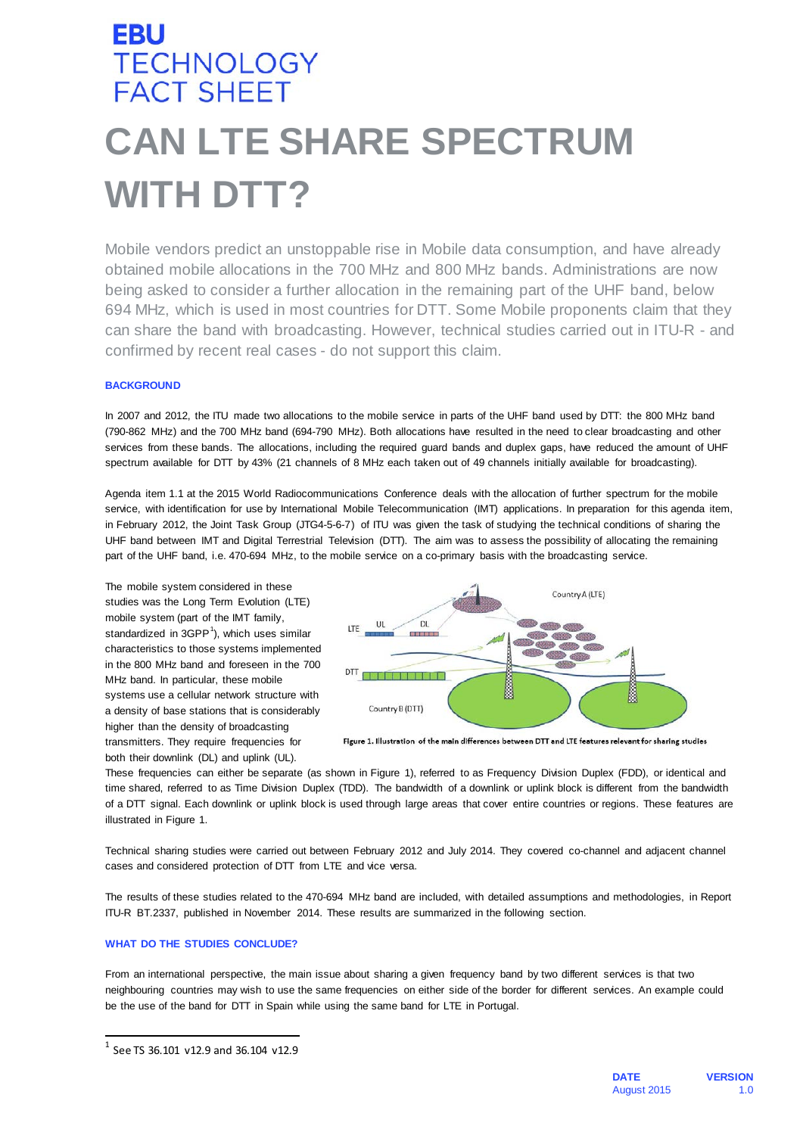# **EBU TECHNOLOGY FACT SHEET CAN LTE SHARE SPECTRUM WITH DTT?**

Mobile vendors predict an unstoppable rise in Mobile data consumption, and have already obtained mobile allocations in the 700 MHz and 800 MHz bands. Administrations are now being asked to consider a further allocation in the remaining part of the UHF band, below 694 MHz, which is used in most countries for DTT. Some Mobile proponents claim that they can share the band with broadcasting. However, technical studies carried out in ITU-R - and confirmed by recent real cases - do not support this claim.

## **BACKGROUND**

In 2007 and 2012, the ITU made two allocations to the mobile service in parts of the UHF band used by DTT: the 800 MHz band (790-862 MHz) and the 700 MHz band (694-790 MHz). Both allocations have resulted in the need to clear broadcasting and other services from these bands. The allocations, including the required guard bands and duplex gaps, have reduced the amount of UHF spectrum available for DTT by 43% (21 channels of 8 MHz each taken out of 49 channels initially available for broadcasting).

Agenda item 1.1 at the 2015 World Radiocommunications Conference deals with the allocation of further spectrum for the mobile service, with identification for use by International Mobile Telecommunication (IMT) applications. In preparation for this agenda item, in February 2012, the Joint Task Group (JTG4-5-6-7) of ITU was given the task of studying the technical conditions of sharing the UHF band between IMT and Digital Terrestrial Television (DTT). The aim was to assess the possibility of allocating the remaining part of the UHF band, i.e. 470-694 MHz, to the mobile service on a co-primary basis with the broadcasting service.

The mobile system considered in these studies was the Long Term Evolution (LTE) mobile system (part of the IMT family, standardized in  $3GPP<sup>1</sup>$  $3GPP<sup>1</sup>$  $3GPP<sup>1</sup>$ ), which uses similar characteristics to those systems implemented in the 800 MHz band and foreseen in the 700 MHz band. In particular, these mobile systems use a cellular network structure with a density of base stations that is considerably higher than the density of broadcasting transmitters. They require frequencies for both their downlink (DL) and uplink (UL).



Figure 1. Illustration of the main differences between DTT and LTE features relevant for sharing studies

These frequencies can either be separate (as shown in Figure 1), referred to as Frequency Division Duplex (FDD), or identical and time shared, referred to as Time Division Duplex (TDD). The bandwidth of a downlink or uplink block is different from the bandwidth of a DTT signal. Each downlink or uplink block is used through large areas that cover entire countries or regions. These features are illustrated in Figure 1.

Technical sharing studies were carried out between February 2012 and July 2014. They covered co-channel and adjacent channel cases and considered protection of DTT from LTE and vice versa.

The results of these studies related to the 470-694 MHz band are included, with detailed assumptions and methodologies, in Report ITU-R BT.2337, published in November 2014. These results are summarized in the following section.

## **WHAT DO THE STUDIES CONCLUDE?**

From an international perspective, the main issue about sharing a given frequency band by two different services is that two neighbouring countries may wish to use the same frequencies on either side of the border for different services. An example could be the use of the band for DTT in Spain while using the same band for LTE in Portugal.

<span id="page-0-0"></span> $1$  See TS 36.101 v12.9 and 36.104 v12.9